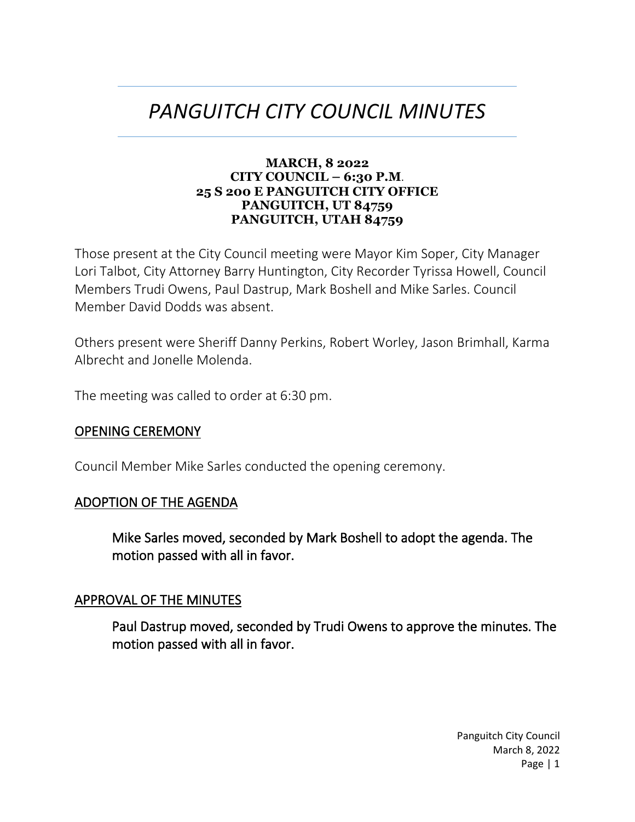# *PANGUITCH CITY COUNCIL MINUTES*

#### **MARCH, 8 2022 CITY COUNCIL – 6:30 P.M**. **25 S 200 E PANGUITCH CITY OFFICE PANGUITCH, UT 84759 PANGUITCH, UTAH 84759**

Those present at the City Council meeting were Mayor Kim Soper, City Manager Lori Talbot, City Attorney Barry Huntington, City Recorder Tyrissa Howell, Council Members Trudi Owens, Paul Dastrup, Mark Boshell and Mike Sarles. Council Member David Dodds was absent.

Others present were Sheriff Danny Perkins, Robert Worley, Jason Brimhall, Karma Albrecht and Jonelle Molenda.

The meeting was called to order at 6:30 pm.

## OPENING CEREMONY

Council Member Mike Sarles conducted the opening ceremony.

## ADOPTION OF THE AGENDA

Mike Sarles moved, seconded by Mark Boshell to adopt the agenda. The motion passed with all in favor.

## APPROVAL OF THE MINUTES

Paul Dastrup moved, seconded by Trudi Owens to approve the minutes. The motion passed with all in favor.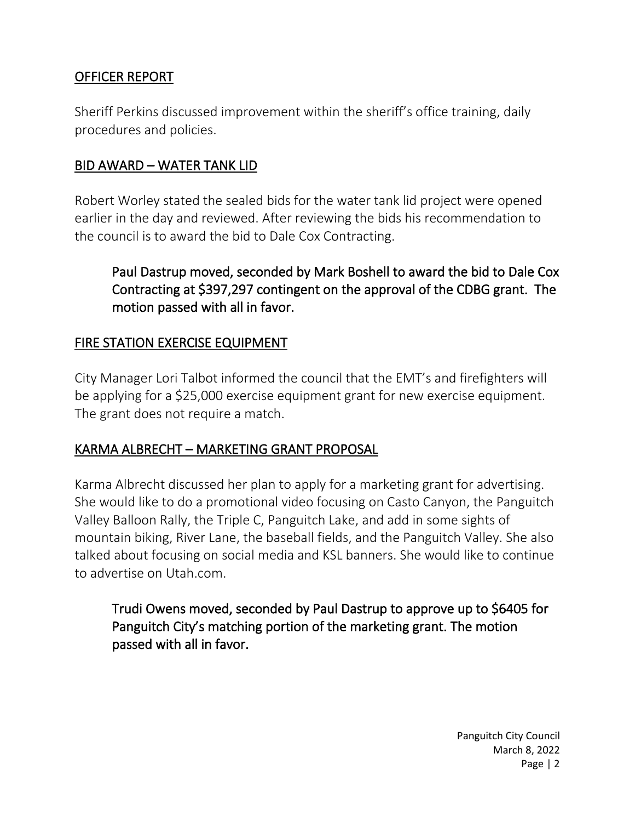## OFFICER REPORT

Sheriff Perkins discussed improvement within the sheriff's office training, daily procedures and policies.

## BID AWARD – WATER TANK LID

Robert Worley stated the sealed bids for the water tank lid project were opened earlier in the day and reviewed. After reviewing the bids his recommendation to the council is to award the bid to Dale Cox Contracting.

Paul Dastrup moved, seconded by Mark Boshell to award the bid to Dale Cox Contracting at \$397,297 contingent on the approval of the CDBG grant. The motion passed with all in favor.

## FIRE STATION EXERCISE EQUIPMENT

City Manager Lori Talbot informed the council that the EMT's and firefighters will be applying for a \$25,000 exercise equipment grant for new exercise equipment. The grant does not require a match.

## KARMA ALBRECHT – MARKETING GRANT PROPOSAL

Karma Albrecht discussed her plan to apply for a marketing grant for advertising. She would like to do a promotional video focusing on Casto Canyon, the Panguitch Valley Balloon Rally, the Triple C, Panguitch Lake, and add in some sights of mountain biking, River Lane, the baseball fields, and the Panguitch Valley. She also talked about focusing on social media and KSL banners. She would like to continue to advertise on Utah.com.

Trudi Owens moved, seconded by Paul Dastrup to approve up to \$6405 for Panguitch City's matching portion of the marketing grant. The motion passed with all in favor.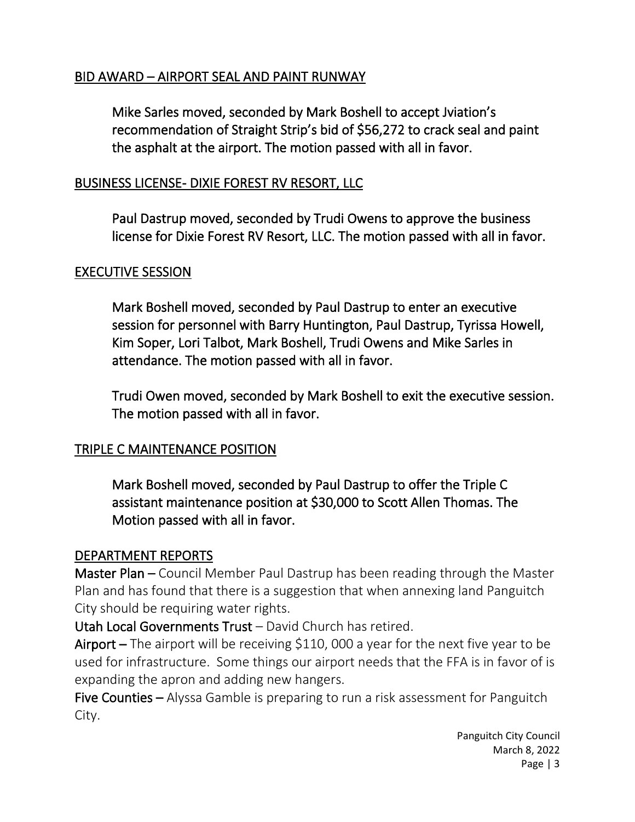## BID AWARD – AIRPORT SEAL AND PAINT RUNWAY

Mike Sarles moved, seconded by Mark Boshell to accept Jviation's recommendation of Straight Strip's bid of \$56,272 to crack seal and paint the asphalt at the airport. The motion passed with all in favor.

## BUSINESS LICENSE- DIXIE FOREST RV RESORT, LLC

Paul Dastrup moved, seconded by Trudi Owens to approve the business license for Dixie Forest RV Resort, LLC. The motion passed with all in favor.

## EXECUTIVE SESSION

Mark Boshell moved, seconded by Paul Dastrup to enter an executive session for personnel with Barry Huntington, Paul Dastrup, Tyrissa Howell, Kim Soper, Lori Talbot, Mark Boshell, Trudi Owens and Mike Sarles in attendance. The motion passed with all in favor.

Trudi Owen moved, seconded by Mark Boshell to exit the executive session. The motion passed with all in favor.

## TRIPLE C MAINTENANCE POSITION

Mark Boshell moved, seconded by Paul Dastrup to offer the Triple C assistant maintenance position at \$30,000 to Scott Allen Thomas. The Motion passed with all in favor.

## DEPARTMENT REPORTS

Master Plan – Council Member Paul Dastrup has been reading through the Master Plan and has found that there is a suggestion that when annexing land Panguitch City should be requiring water rights.

Utah Local Governments Trust – David Church has retired.

Airport – The airport will be receiving \$110, 000 a year for the next five year to be used for infrastructure. Some things our airport needs that the FFA is in favor of is expanding the apron and adding new hangers.

Five Counties – Alyssa Gamble is preparing to run a risk assessment for Panguitch City.